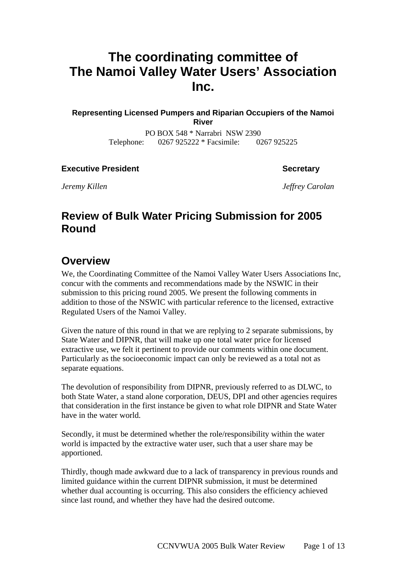# **The coordinating committee of The Namoi Valley Water Users' Association Inc.**

**Representing Licensed Pumpers and Riparian Occupiers of the Namoi River** 

> PO BOX 548 \* Narrabri NSW 2390 Telephone: 0267 925222 \* Facsimile: 0267 925225

**Executive President Contract Secretary According Secretary According Secretary According Secretary According Secretary According Secretary According Secretary According Secretary According Secretary According Secretary Ac** 

*Jeremy Killen Jeffrey Carolan* 

## **Review of Bulk Water Pricing Submission for 2005 Round**

## **Overview**

We, the Coordinating Committee of the Namoi Valley Water Users Associations Inc, concur with the comments and recommendations made by the NSWIC in their submission to this pricing round 2005. We present the following comments in addition to those of the NSWIC with particular reference to the licensed, extractive Regulated Users of the Namoi Valley.

Given the nature of this round in that we are replying to 2 separate submissions, by State Water and DIPNR, that will make up one total water price for licensed extractive use, we felt it pertinent to provide our comments within one document. Particularly as the socioeconomic impact can only be reviewed as a total not as separate equations.

The devolution of responsibility from DIPNR, previously referred to as DLWC, to both State Water, a stand alone corporation, DEUS, DPI and other agencies requires that consideration in the first instance be given to what role DIPNR and State Water have in the water world.

Secondly, it must be determined whether the role/responsibility within the water world is impacted by the extractive water user, such that a user share may be apportioned.

Thirdly, though made awkward due to a lack of transparency in previous rounds and limited guidance within the current DIPNR submission, it must be determined whether dual accounting is occurring. This also considers the efficiency achieved since last round, and whether they have had the desired outcome.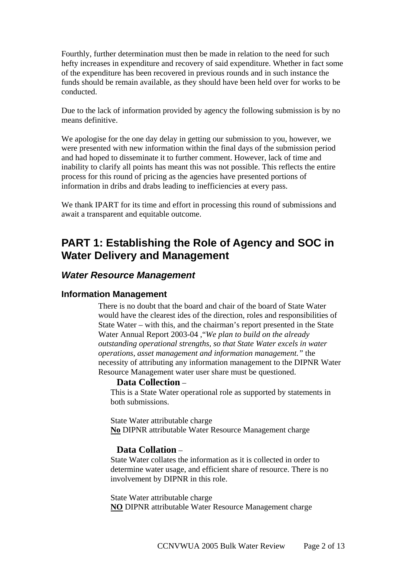Fourthly, further determination must then be made in relation to the need for such hefty increases in expenditure and recovery of said expenditure. Whether in fact some of the expenditure has been recovered in previous rounds and in such instance the funds should be remain available, as they should have been held over for works to be conducted.

Due to the lack of information provided by agency the following submission is by no means definitive.

We apologise for the one day delay in getting our submission to you, however, we were presented with new information within the final days of the submission period and had hoped to disseminate it to further comment. However, lack of time and inability to clarify all points has meant this was not possible. This reflects the entire process for this round of pricing as the agencies have presented portions of information in dribs and drabs leading to inefficiencies at every pass.

We thank IPART for its time and effort in processing this round of submissions and await a transparent and equitable outcome.

## **PART 1: Establishing the Role of Agency and SOC in Water Delivery and Management**

#### *Water Resource Management*

#### **Information Management**

There is no doubt that the board and chair of the board of State Water would have the clearest ides of the direction, roles and responsibilities of State Water – with this, and the chairman's report presented in the State Water Annual Report 2003-04 ,"*We plan to build on the already outstanding operational strengths, so that State Water excels in water operations, asset management and information management."* the necessity of attributing any information management to the DIPNR Water Resource Management water user share must be questioned.

#### **Data Collection** –

This is a State Water operational role as supported by statements in both submissions.

 State Water attributable charge **No** DIPNR attributable Water Resource Management charge

#### **Data Collation** –

State Water collates the information as it is collected in order to determine water usage, and efficient share of resource. There is no involvement by DIPNR in this role.

State Water attributable charge **NO** DIPNR attributable Water Resource Management charge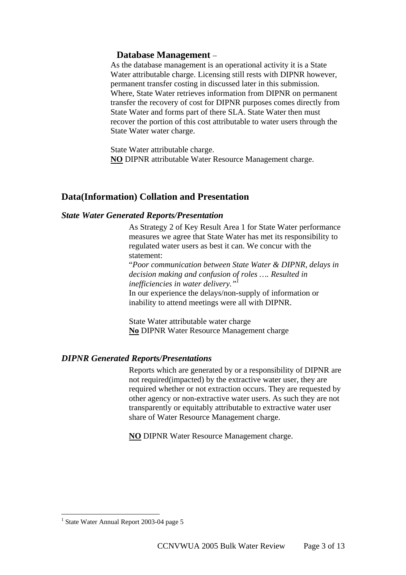#### **Database Management** –

As the database management is an operational activity it is a State Water attributable charge. Licensing still rests with DIPNR however, permanent transfer costing in discussed later in this submission. Where, State Water retrieves information from DIPNR on permanent transfer the recovery of cost for DIPNR purposes comes directly from State Water and forms part of there SLA. State Water then must recover the portion of this cost attributable to water users through the State Water water charge.

State Water attributable charge. **NO** DIPNR attributable Water Resource Management charge.

#### **Data(Information) Collation and Presentation**

#### *State Water Generated Reports/Presentation*

As Strategy 2 of Key Result Area 1 for State Water performance measures we agree that State Water has met its responsibility to regulated water users as best it can. We concur with the statement:

"*Poor communication between State Water & DIPNR, delays in decision making and confusion of roles …. Resulted in inefficiencies in water delivery.*<sup>"</sup> In our experience the delays/non-supply of information or inability to attend meetings were all with DIPNR.

State Water attributable water charge **No** DIPNR Water Resource Management charge

#### *DIPNR Generated Reports/Presentations*

Reports which are generated by or a responsibility of DIPNR are not required(impacted) by the extractive water user, they are required whether or not extraction occurs. They are requested by other agency or non-extractive water users. As such they are not transparently or equitably attributable to extractive water user share of Water Resource Management charge.

**NO** DIPNR Water Resource Management charge.

 $\overline{a}$ 

<span id="page-2-0"></span><sup>&</sup>lt;sup>1</sup> State Water Annual Report 2003-04 page 5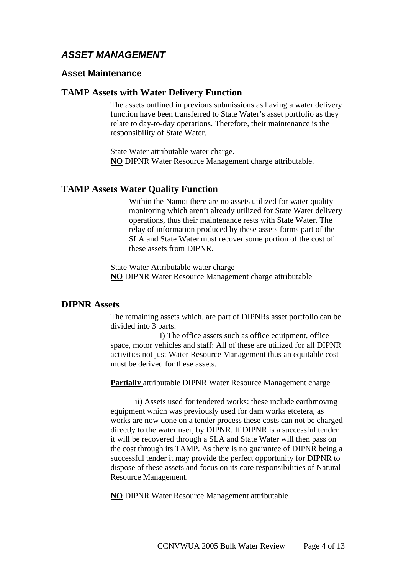### *ASSET MANAGEMENT*

#### **Asset Maintenance**

#### **TAMP Assets with Water Delivery Function**

The assets outlined in previous submissions as having a water delivery function have been transferred to State Water's asset portfolio as they relate to day-to-day operations. Therefore, their maintenance is the responsibility of State Water.

State Water attributable water charge. **NO** DIPNR Water Resource Management charge attributable.

#### **TAMP Assets Water Quality Function**

Within the Namoi there are no assets utilized for water quality monitoring which aren't already utilized for State Water delivery operations, thus their maintenance rests with State Water. The relay of information produced by these assets forms part of the SLA and State Water must recover some portion of the cost of these assets from DIPNR.

State Water Attributable water charge **NO** DIPNR Water Resource Management charge attributable

#### **DIPNR Assets**

The remaining assets which, are part of DIPNRs asset portfolio can be divided into 3 parts:

I) The office assets such as office equipment, office space, motor vehicles and staff: All of these are utilized for all DIPNR activities not just Water Resource Management thus an equitable cost must be derived for these assets.

**Partially** attributable DIPNR Water Resource Management charge

ii) Assets used for tendered works: these include earthmoving equipment which was previously used for dam works etcetera, as works are now done on a tender process these costs can not be charged directly to the water user, by DIPNR. If DIPNR is a successful tender it will be recovered through a SLA and State Water will then pass on the cost through its TAMP. As there is no guarantee of DIPNR being a successful tender it may provide the perfect opportunity for DIPNR to dispose of these assets and focus on its core responsibilities of Natural Resource Management.

**NO** DIPNR Water Resource Management attributable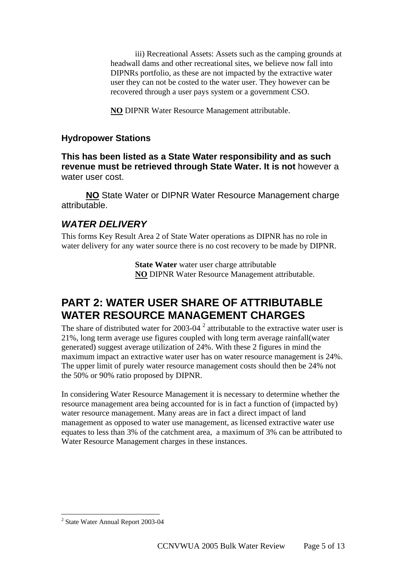iii) Recreational Assets: Assets such as the camping grounds at headwall dams and other recreational sites, we believe now fall into DIPNRs portfolio, as these are not impacted by the extractive water user they can not be costed to the water user. They however can be recovered through a user pays system or a government CSO.

**NO** DIPNR Water Resource Management attributable.

#### **Hydropower Stations**

**This has been listed as a State Water responsibility and as such revenue must be retrieved through State Water. It is not** however a water user cost.

**NO** State Water or DIPNR Water Resource Management charge attributable.

### *WATER DELIVERY*

This forms Key Result Area 2 of State Water operations as DIPNR has no role in water delivery for any water source there is no cost recovery to be made by DIPNR.

> **State Water** water user charge attributable **NO** DIPNR Water Resource Management attributable.

## **PART 2: WATER USER SHARE OF ATTRIBUTABLE WATER RESOURCE MANAGEMENT CHARGES**

The share of distributed water for [2](#page-4-0)003-04  $^2$  attributable to the extractive water user is 21%, long term average use figures coupled with long term average rainfall(water generated) suggest average utilization of 24%. With these 2 figures in mind the maximum impact an extractive water user has on water resource management is 24%. The upper limit of purely water resource management costs should then be 24% not the 50% or 90% ratio proposed by DIPNR.

In considering Water Resource Management it is necessary to determine whether the resource management area being accounted for is in fact a function of (impacted by) water resource management. Many areas are in fact a direct impact of land management as opposed to water use management, as licensed extractive water use equates to less than 3% of the catchment area, a maximum of 3% can be attributed to Water Resource Management charges in these instances.

 $\overline{a}$ 

<span id="page-4-0"></span><sup>&</sup>lt;sup>2</sup> State Water Annual Report 2003-04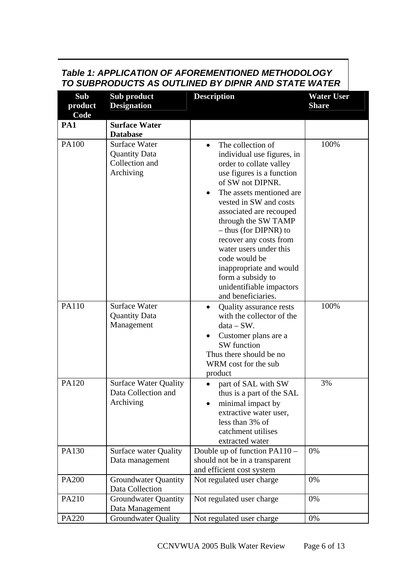### *Table 1: APPLICATION OF AFOREMENTIONED METHODOLOGY TO SUBPRODUCTS AS OUTLINED BY DIPNR AND STATE WATER*

| Sub<br>product<br>Code | Sub product<br><b>Designation</b>                                           | <b>Description</b>                                                                                                                                                                                                                                                                                                                                                                                                                                             | <b>Water User</b><br><b>Share</b> |
|------------------------|-----------------------------------------------------------------------------|----------------------------------------------------------------------------------------------------------------------------------------------------------------------------------------------------------------------------------------------------------------------------------------------------------------------------------------------------------------------------------------------------------------------------------------------------------------|-----------------------------------|
| PA1                    | <b>Surface Water</b><br><b>Database</b>                                     |                                                                                                                                                                                                                                                                                                                                                                                                                                                                |                                   |
| <b>PA100</b>           | <b>Surface Water</b><br><b>Quantity Data</b><br>Collection and<br>Archiving | The collection of<br>$\bullet$<br>individual use figures, in<br>order to collate valley<br>use figures is a function<br>of SW not DIPNR.<br>The assets mentioned are.<br>$\bullet$<br>vested in SW and costs<br>associated are recouped<br>through the SW TAMP<br>- thus (for DIPNR) to<br>recover any costs from<br>water users under this<br>code would be<br>inappropriate and would<br>form a subsidy to<br>unidentifiable impactors<br>and beneficiaries. | 100%                              |
| PA110                  | <b>Surface Water</b><br><b>Quantity Data</b><br>Management                  | Quality assurance rests<br>with the collector of the<br>$data - SW$ .<br>Customer plans are a<br>SW function<br>Thus there should be no<br>WRM cost for the sub<br>product                                                                                                                                                                                                                                                                                     | 100%                              |
| PA120                  | <b>Surface Water Quality</b><br>Data Collection and<br>Archiving            | part of SAL with SW<br>thus is a part of the SAL<br>minimal impact by<br>extractive water user,<br>less than 3% of<br>catchment utilises<br>extracted water                                                                                                                                                                                                                                                                                                    | 3%                                |
| PA130                  | <b>Surface water Quality</b><br>Data management                             | Double up of function PA110 –<br>should not be in a transparent<br>and efficient cost system                                                                                                                                                                                                                                                                                                                                                                   | 0%                                |
| <b>PA200</b>           | <b>Groundwater Quantity</b><br>Data Collection                              | Not regulated user charge                                                                                                                                                                                                                                                                                                                                                                                                                                      | 0%                                |
| PA210                  | <b>Groundwater Quantity</b><br>Data Management                              | Not regulated user charge                                                                                                                                                                                                                                                                                                                                                                                                                                      | 0%                                |
| PA220                  | <b>Groundwater Quality</b>                                                  | Not regulated user charge                                                                                                                                                                                                                                                                                                                                                                                                                                      | 0%                                |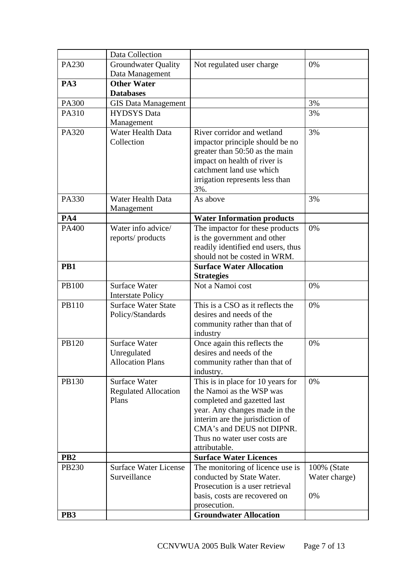|                 | Data Collection              |                                    |               |
|-----------------|------------------------------|------------------------------------|---------------|
| PA230           | <b>Groundwater Quality</b>   | Not regulated user charge          | 0%            |
|                 | Data Management              |                                    |               |
| PA3             | <b>Other Water</b>           |                                    |               |
|                 | <b>Databases</b>             |                                    |               |
| <b>PA300</b>    | <b>GIS Data Management</b>   |                                    | 3%            |
| PA310           | <b>HYDSYS</b> Data           |                                    | 3%            |
|                 | Management                   |                                    |               |
| PA320           | Water Health Data            | River corridor and wetland         | 3%            |
|                 | Collection                   | impactor principle should be no    |               |
|                 |                              | greater than 50:50 as the main     |               |
|                 |                              | impact on health of river is       |               |
|                 |                              | catchment land use which           |               |
|                 |                              | irrigation represents less than    |               |
|                 |                              | 3%.                                |               |
| PA330           | Water Health Data            | As above                           | 3%            |
|                 | Management                   |                                    |               |
| PA4             |                              | <b>Water Information products</b>  |               |
| PA400           | Water info advice/           | The impactor for these products    | 0%            |
|                 | reports/products             | is the government and other        |               |
|                 |                              | readily identified end users, thus |               |
|                 |                              | should not be costed in WRM.       |               |
| PB1             |                              | <b>Surface Water Allocation</b>    |               |
|                 |                              | <b>Strategies</b>                  |               |
| <b>PB100</b>    | <b>Surface Water</b>         | Not a Namoi cost                   | 0%            |
|                 | <b>Interstate Policy</b>     |                                    |               |
| PB110           | <b>Surface Water State</b>   | This is a CSO as it reflects the   | 0%            |
|                 | Policy/Standards             | desires and needs of the           |               |
|                 |                              | community rather than that of      |               |
|                 |                              | industry                           |               |
| PB120           | Surface Water                | Once again this reflects the       | 0%            |
|                 | Unregulated                  | desires and needs of the           |               |
|                 | <b>Allocation Plans</b>      | community rather than that of      |               |
|                 |                              | industry.                          |               |
| PB130           | <b>Surface Water</b>         | This is in place for 10 years for  | 0%            |
|                 | <b>Regulated Allocation</b>  | the Namoi as the WSP was           |               |
|                 | Plans                        | completed and gazetted last        |               |
|                 |                              | year. Any changes made in the      |               |
|                 |                              | interim are the jurisdiction of    |               |
|                 |                              | CMA's and DEUS not DIPNR.          |               |
|                 |                              | Thus no water user costs are       |               |
|                 |                              | attributable.                      |               |
| PB <sub>2</sub> |                              | <b>Surface Water Licences</b>      |               |
| <b>PB230</b>    | <b>Surface Water License</b> | The monitoring of licence use is   | 100% (State   |
|                 | Surveillance                 | conducted by State Water.          | Water charge) |
|                 |                              | Prosecution is a user retrieval    |               |
|                 |                              | basis, costs are recovered on      | 0%            |
|                 |                              | prosecution.                       |               |
| PB <sub>3</sub> |                              | <b>Groundwater Allocation</b>      |               |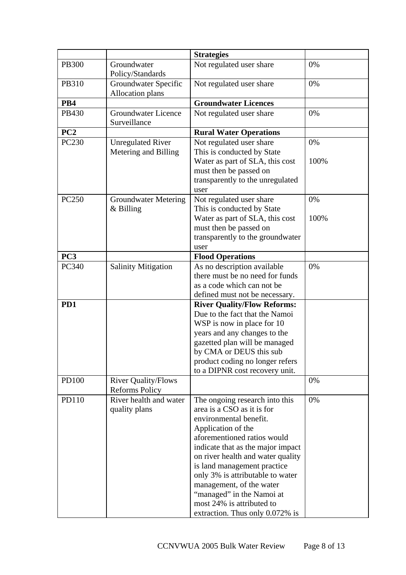|                 |                                                        | <b>Strategies</b>                                                                                                                                                                                                                                                                                                                                                                                                 |            |
|-----------------|--------------------------------------------------------|-------------------------------------------------------------------------------------------------------------------------------------------------------------------------------------------------------------------------------------------------------------------------------------------------------------------------------------------------------------------------------------------------------------------|------------|
| <b>PB300</b>    | Groundwater<br>Policy/Standards                        | Not regulated user share                                                                                                                                                                                                                                                                                                                                                                                          | 0%         |
| PB310           | <b>Groundwater Specific</b><br><b>Allocation plans</b> | Not regulated user share                                                                                                                                                                                                                                                                                                                                                                                          | 0%         |
| PB4             |                                                        | <b>Groundwater Licences</b>                                                                                                                                                                                                                                                                                                                                                                                       |            |
| PB430           | <b>Groundwater Licence</b><br>Surveillance             | Not regulated user share                                                                                                                                                                                                                                                                                                                                                                                          | 0%         |
| PC2             |                                                        | <b>Rural Water Operations</b>                                                                                                                                                                                                                                                                                                                                                                                     |            |
| <b>PC230</b>    | <b>Unregulated River</b><br>Metering and Billing       | Not regulated user share<br>This is conducted by State<br>Water as part of SLA, this cost<br>must then be passed on<br>transparently to the unregulated<br>user                                                                                                                                                                                                                                                   | 0%<br>100% |
| <b>PC250</b>    | <b>Groundwater Metering</b><br>$&$ Billing             | Not regulated user share<br>This is conducted by State<br>Water as part of SLA, this cost<br>must then be passed on<br>transparently to the groundwater<br>user                                                                                                                                                                                                                                                   | 0%<br>100% |
| PC <sub>3</sub> |                                                        | <b>Flood Operations</b>                                                                                                                                                                                                                                                                                                                                                                                           |            |
| PC340           | <b>Salinity Mitigation</b>                             | As no description available<br>there must be no need for funds<br>as a code which can not be<br>defined must not be necessary.                                                                                                                                                                                                                                                                                    | 0%         |
| PD1             |                                                        | <b>River Quality/Flow Reforms:</b><br>Due to the fact that the Namoi<br>WSP is now in place for 10<br>years and any changes to the<br>gazetted plan will be managed<br>by CMA or DEUS this sub<br>product coding no longer refers<br>to a DIPNR cost recovery unit.                                                                                                                                               |            |
| <b>PD100</b>    | <b>River Quality/Flows</b><br><b>Reforms Policy</b>    |                                                                                                                                                                                                                                                                                                                                                                                                                   | 0%         |
| PD110           | River health and water<br>quality plans                | The ongoing research into this<br>area is a CSO as it is for<br>environmental benefit.<br>Application of the<br>aforementioned ratios would<br>indicate that as the major impact<br>on river health and water quality<br>is land management practice<br>only 3% is attributable to water<br>management, of the water<br>"managed" in the Namoi at<br>most 24% is attributed to<br>extraction. Thus only 0.072% is | 0%         |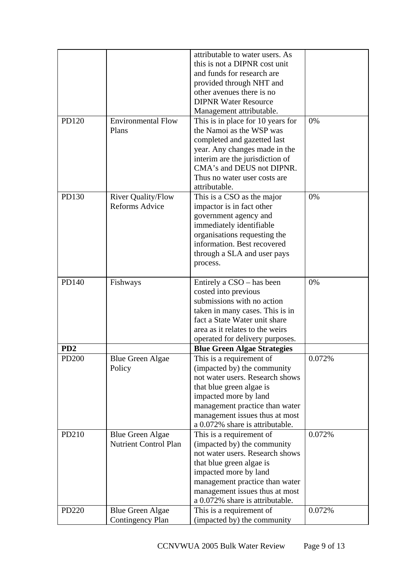|                 |                              | attributable to water users. As                                   |        |
|-----------------|------------------------------|-------------------------------------------------------------------|--------|
|                 |                              | this is not a DIPNR cost unit                                     |        |
|                 |                              | and funds for research are                                        |        |
|                 |                              | provided through NHT and                                          |        |
|                 |                              | other avenues there is no                                         |        |
|                 |                              | <b>DIPNR Water Resource</b>                                       |        |
|                 |                              | Management attributable.                                          |        |
| PD120           | <b>Environmental Flow</b>    | This is in place for 10 years for                                 | 0%     |
|                 | Plans                        | the Namoi as the WSP was                                          |        |
|                 |                              | completed and gazetted last                                       |        |
|                 |                              | year. Any changes made in the                                     |        |
|                 |                              | interim are the jurisdiction of                                   |        |
|                 |                              | CMA's and DEUS not DIPNR.                                         |        |
|                 |                              | Thus no water user costs are                                      |        |
|                 |                              | attributable.                                                     |        |
| PD130           | <b>River Quality/Flow</b>    | This is a CSO as the major                                        | 0%     |
|                 | <b>Reforms Advice</b>        | impactor is in fact other                                         |        |
|                 |                              | government agency and                                             |        |
|                 |                              | immediately identifiable                                          |        |
|                 |                              | organisations requesting the                                      |        |
|                 |                              | information. Best recovered                                       |        |
|                 |                              |                                                                   |        |
|                 |                              | through a SLA and user pays                                       |        |
|                 |                              | process.                                                          |        |
| PD140           | Fishways                     | Entirely a CSO – has been                                         | 0%     |
|                 |                              | costed into previous                                              |        |
|                 |                              | submissions with no action                                        |        |
|                 |                              | taken in many cases. This is in                                   |        |
|                 |                              | fact a State Water unit share                                     |        |
|                 |                              | area as it relates to the weirs                                   |        |
|                 |                              | operated for delivery purposes.                                   |        |
| PD <sub>2</sub> |                              | <b>Blue Green Algae Strategies</b>                                |        |
| PD200           | <b>Blue Green Algae</b>      | This is a requirement of                                          | 0.072% |
|                 | Policy                       | (impacted by) the community                                       |        |
|                 |                              | not water users. Research shows                                   |        |
|                 |                              | that blue green algae is                                          |        |
|                 |                              | impacted more by land                                             |        |
|                 |                              |                                                                   |        |
|                 |                              | management practice than water                                    |        |
|                 |                              | management issues thus at most<br>a 0.072% share is attributable. |        |
|                 |                              |                                                                   |        |
| PD210           | <b>Blue Green Algae</b>      | This is a requirement of                                          | 0.072% |
|                 | <b>Nutrient Control Plan</b> | (impacted by) the community<br>not water users. Research shows    |        |
|                 |                              |                                                                   |        |
|                 |                              | that blue green algae is                                          |        |
|                 |                              | impacted more by land                                             |        |
|                 |                              | management practice than water                                    |        |
|                 |                              | management issues thus at most                                    |        |
|                 |                              | a 0.072% share is attributable.                                   |        |
| PD220           | <b>Blue Green Algae</b>      | This is a requirement of                                          | 0.072% |
|                 | <b>Contingency Plan</b>      | (impacted by) the community                                       |        |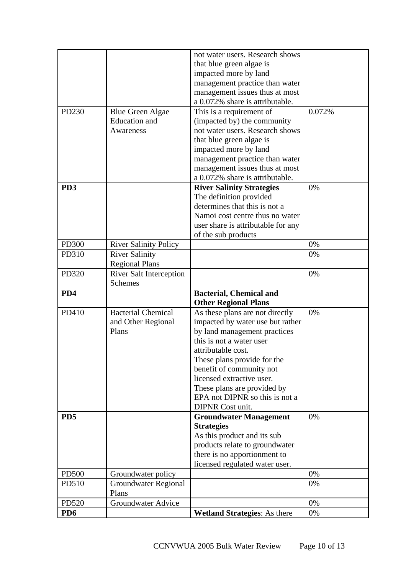|                  |                                | not water users. Research shows     |        |
|------------------|--------------------------------|-------------------------------------|--------|
|                  |                                | that blue green algae is            |        |
|                  |                                | impacted more by land               |        |
|                  |                                | management practice than water      |        |
|                  |                                | management issues thus at most      |        |
|                  |                                | a 0.072% share is attributable.     |        |
| PD230            | <b>Blue Green Algae</b>        | This is a requirement of            | 0.072% |
|                  | <b>Education</b> and           | (impacted by) the community         |        |
|                  | Awareness                      | not water users. Research shows     |        |
|                  |                                | that blue green algae is            |        |
|                  |                                | impacted more by land               |        |
|                  |                                | management practice than water      |        |
|                  |                                | management issues thus at most      |        |
|                  |                                | a 0.072% share is attributable.     |        |
| P <sub>D</sub> 3 |                                | <b>River Salinity Strategies</b>    | 0%     |
|                  |                                | The definition provided             |        |
|                  |                                | determines that this is not a       |        |
|                  |                                | Namoi cost centre thus no water     |        |
|                  |                                | user share is attributable for any  |        |
|                  |                                | of the sub products                 |        |
| <b>PD300</b>     | <b>River Salinity Policy</b>   |                                     | 0%     |
| PD310            | <b>River Salinity</b>          |                                     | 0%     |
|                  | <b>Regional Plans</b>          |                                     |        |
| PD320            | <b>River Salt Interception</b> |                                     | 0%     |
|                  | <b>Schemes</b>                 |                                     |        |
| PD4              |                                | <b>Bacterial, Chemical and</b>      |        |
|                  |                                | <b>Other Regional Plans</b>         |        |
| PD410            | <b>Bacterial Chemical</b>      | As these plans are not directly     | 0%     |
|                  | and Other Regional             | impacted by water use but rather    |        |
|                  | Plans                          | by land management practices        |        |
|                  |                                | this is not a water user            |        |
|                  |                                | attributable cost.                  |        |
|                  |                                | These plans provide for the         |        |
|                  |                                | benefit of community not            |        |
|                  |                                | licensed extractive user.           |        |
|                  |                                | These plans are provided by         |        |
|                  |                                | EPA not DIPNR so this is not a      |        |
|                  |                                | <b>DIPNR</b> Cost unit.             |        |
| PD <sub>5</sub>  |                                | <b>Groundwater Management</b>       | 0%     |
|                  |                                | <b>Strategies</b>                   |        |
|                  |                                | As this product and its sub         |        |
|                  |                                | products relate to groundwater      |        |
|                  |                                | there is no apportionment to        |        |
|                  |                                | licensed regulated water user.      |        |
| <b>PD500</b>     | Groundwater policy             |                                     | 0%     |
| PD510            | Groundwater Regional           |                                     | 0%     |
|                  | Plans                          |                                     |        |
| PD520            | <b>Groundwater Advice</b>      |                                     | 0%     |
| PD <sub>6</sub>  |                                | <b>Wetland Strategies:</b> As there | 0%     |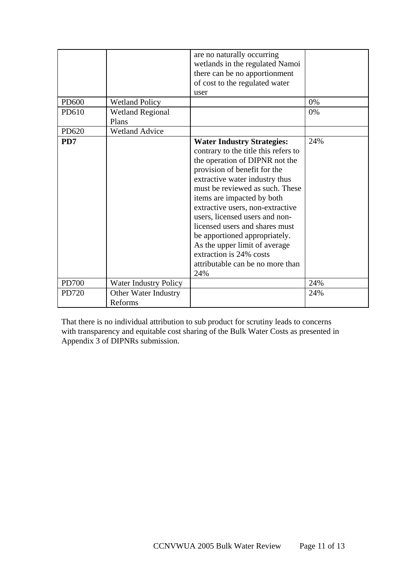| PD600<br>PD610 | <b>Wetland Policy</b><br><b>Wetland Regional</b> | are no naturally occurring<br>wetlands in the regulated Namoi<br>there can be no apportionment<br>of cost to the regulated water<br>user                                                                                                                                                                                                                                                                                                                                                       | 0%<br>0% |
|----------------|--------------------------------------------------|------------------------------------------------------------------------------------------------------------------------------------------------------------------------------------------------------------------------------------------------------------------------------------------------------------------------------------------------------------------------------------------------------------------------------------------------------------------------------------------------|----------|
|                | Plans                                            |                                                                                                                                                                                                                                                                                                                                                                                                                                                                                                |          |
| PD620          | <b>Wetland Advice</b>                            |                                                                                                                                                                                                                                                                                                                                                                                                                                                                                                |          |
| PD7            |                                                  | <b>Water Industry Strategies:</b><br>contrary to the title this refers to<br>the operation of DIPNR not the<br>provision of benefit for the<br>extractive water industry thus<br>must be reviewed as such. These<br>items are impacted by both<br>extractive users, non-extractive<br>users, licensed users and non-<br>licensed users and shares must<br>be apportioned appropriately.<br>As the upper limit of average<br>extraction is 24% costs<br>attributable can be no more than<br>24% | 24%      |
| <b>PD700</b>   | <b>Water Industry Policy</b>                     |                                                                                                                                                                                                                                                                                                                                                                                                                                                                                                | 24%      |
| PD720          | Other Water Industry<br>Reforms                  |                                                                                                                                                                                                                                                                                                                                                                                                                                                                                                | 24%      |

That there is no individual attribution to sub product for scrutiny leads to concerns with transparency and equitable cost sharing of the Bulk Water Costs as presented in Appendix 3 of DIPNRs submission.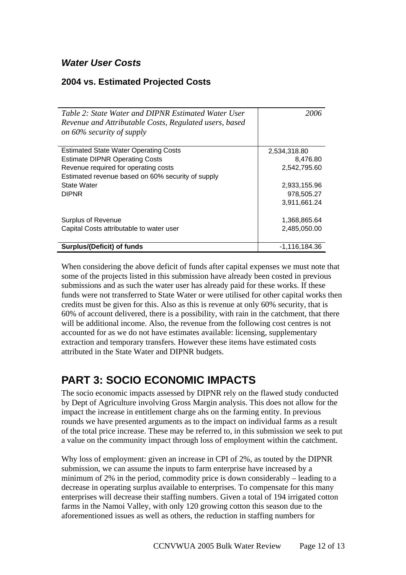## *Water User Costs*

### **2004 vs. Estimated Projected Costs**

| Table 2: State Water and DIPNR Estimated Water User<br>Revenue and Attributable Costs, Regulated users, based<br>on $60\%$ security of supply | 2006            |
|-----------------------------------------------------------------------------------------------------------------------------------------------|-----------------|
| <b>Estimated State Water Operating Costs</b>                                                                                                  | 2,534,318.80    |
| <b>Estimate DIPNR Operating Costs</b>                                                                                                         | 8,476.80        |
| Revenue required for operating costs                                                                                                          | 2,542,795.60    |
| Estimated revenue based on 60% security of supply                                                                                             |                 |
| <b>State Water</b>                                                                                                                            | 2,933,155.96    |
| <b>DIPNR</b>                                                                                                                                  | 978,505.27      |
|                                                                                                                                               | 3,911,661.24    |
| <b>Surplus of Revenue</b>                                                                                                                     | 1,368,865.64    |
| Capital Costs attributable to water user                                                                                                      | 2,485,050.00    |
| <b>Surplus/(Deficit) of funds</b>                                                                                                             | $-1,116,184.36$ |

When considering the above deficit of funds after capital expenses we must note that some of the projects listed in this submission have already been costed in previous submissions and as such the water user has already paid for these works. If these funds were not transferred to State Water or were utilised for other capital works then credits must be given for this. Also as this is revenue at only 60% security, that is 60% of account delivered, there is a possibility, with rain in the catchment, that there will be additional income. Also, the revenue from the following cost centres is not accounted for as we do not have estimates available: licensing, supplementary extraction and temporary transfers. However these items have estimated costs attributed in the State Water and DIPNR budgets.

# **PART 3: SOCIO ECONOMIC IMPACTS**

The socio economic impacts assessed by DIPNR rely on the flawed study conducted by Dept of Agriculture involving Gross Margin analysis. This does not allow for the impact the increase in entitlement charge ahs on the farming entity. In previous rounds we have presented arguments as to the impact on individual farms as a result of the total price increase. These may be referred to, in this submission we seek to put a value on the community impact through loss of employment within the catchment.

Why loss of employment: given an increase in CPI of 2%, as touted by the DIPNR submission, we can assume the inputs to farm enterprise have increased by a minimum of 2% in the period, commodity price is down considerably – leading to a decrease in operating surplus available to enterprises. To compensate for this many enterprises will decrease their staffing numbers. Given a total of 194 irrigated cotton farms in the Namoi Valley, with only 120 growing cotton this season due to the aforementioned issues as well as others, the reduction in staffing numbers for